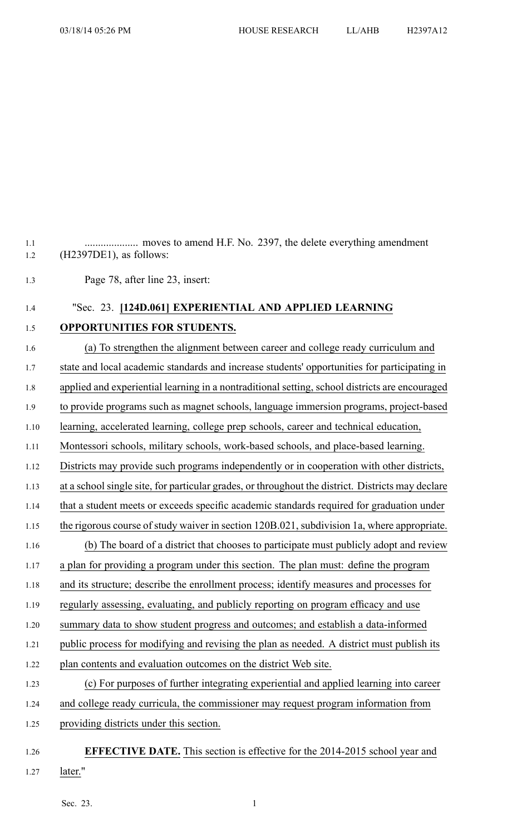1.2 (H2397DE1), as follows: 1.3 Page 78, after line 23, insert: 1.4 "Sec. 23. **[124D.061] EXPERIENTIAL AND APPLIED LEARNING** 1.5 **OPPORTUNITIES FOR STUDENTS.** 1.6 (a) To strengthen the alignment between career and college ready curriculum and 1.7 state and local academic standards and increase students' opportunities for participating in 1.8 applied and experiential learning in <sup>a</sup> nontraditional setting, school districts are encouraged 1.9 to provide programs such as magne<sup>t</sup> schools, language immersion programs, project-based 1.10 learning, accelerated learning, college prep schools, career and technical education, 1.11 Montessori schools, military schools, work-based schools, and place-based learning. 1.12 Districts may provide such programs independently or in cooperation with other districts, 1.13 at <sup>a</sup> school single site, for particular grades, or throughout the district. Districts may declare 1.14 that <sup>a</sup> student meets or exceeds specific academic standards required for graduation under 1.15 the rigorous course of study waiver in section 120B.021, subdivision 1a, where appropriate. 1.16 (b) The board of <sup>a</sup> district that chooses to participate must publicly adopt and review 1.17 <sup>a</sup> plan for providing <sup>a</sup> program under this section. The plan must: define the program 1.18 and its structure; describe the enrollment process; identify measures and processes for 1.19 regularly assessing, evaluating, and publicly reporting on program efficacy and use 1.20 summary data to show student progress and outcomes; and establish <sup>a</sup> data-informed 1.21 public process for modifying and revising the plan as needed. A district must publish its 1.22 plan contents and evaluation outcomes on the district Web site. 1.23 (c) For purposes of further integrating experiential and applied learning into career 1.24 and college ready curricula, the commissioner may reques<sup>t</sup> program information from 1.25 providing districts under this section. 1.26 **EFFECTIVE DATE.** This section is effective for the 2014-2015 school year and 1.27 later."

1.1 .................... moves to amend H.F. No. 2397, the delete everything amendment

Sec. 23.